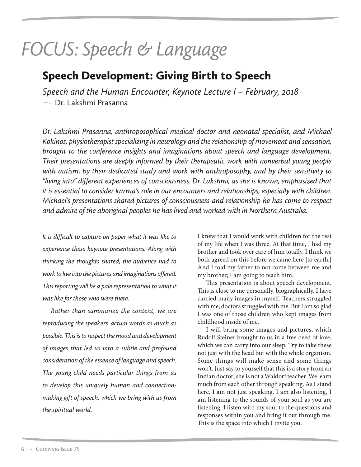## FOCUS: Speech & Language<br>Speech Development: Giving Birth to Speech

*S*<br>Speech and the Human Encounter, Keynote Lecture I – February, 2018 - Dr. Lakshmi Prasanna

*Dr. Lakshmi Prasanna, anthroposophical medical doctor and neonatal specialist, and Michael Kokinos, physiotherapist specializing in neurology and the relationship of movement and sensation, brought to the conference insights and imaginations about speech and language development. Their presentations are deeply informed by their therapeutic work with nonverbal young people with autism, by their dedicated study and work with anthroposophy, and by their sensitivity to "living into" different experiences of consciousness. Dr. Lakshmi, as she is known, emphasized that it is essential to consider karma's role in our encounters and relationships, especially with children. Michael's presentations shared pictures of consciousness and relationship he has come to respect and admire of the aboriginal peoples he has lived and worked with in Northern Australia.*

*It is difficult to capture on paper what it was like to experience these keynote presentations. Along with thinking the thoughts shared, the audience had to work to live into the pictures and imaginations offered. This reporting will be a pale representation to what it was like for those who were there.*

*Rather than summarize the content, we are reproducing the speakers' actual words as much as possible. This is to respect the mood and development of images that led us into a subtle and profound consideration of the essence of language and speech. The young child needs particular things from us to develop this uniquely human and connectionmaking gift of speech, which we bring with us from the spiritual world.*

I knew that I would work with children for the rest of my life when I was three. At that time, I had my brother and took over care of him totally. I think we both agreed on this before we came here [to earth.] And I told my father to not come between me and my brother; I am going to teach him.

This presentation is about speech development. This is close to me personally, biographically. I have carried many images in myself. Teachers struggled with me; doctors struggled with me. But I am so glad I was one of those children who kept images from childhood inside of me.

I will bring some images and pictures, which Rudolf Steiner brought to us in a free deed of love, which we can carry into our sleep. Try to take these not just with the head but with the whole organism. Some things will make sense and some things won't. Just say to yourself that this is a story from an Indian doctor; she is not a Waldorf teacher. We learn much from each other through speaking. As I stand here, I am not just speaking. I am also listening, I am listening to the sounds of your soul as you are listening. I listen with my soul to the questions and responses within you and bring it out through me. This is the space into which I invite you.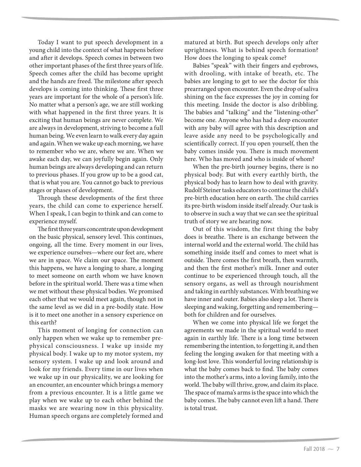Today I want to put speech development in a young child into the context of what happens before and after it develops. Speech comes in between two other important phases of the first three years of life. Speech comes after the child has become upright and the hands are freed. The milestone after speech develops is coming into thinking. These first three years are important for the whole of a person's life. No matter what a person's age, we are still working with what happened in the first three years. It is exciting that human beings are never complete. We are always in development, striving to become a full human being. We even learn to walk every day again and again. When we wake up each morning, we have to remember who we are, where we are. When we awake each day, we can joyfully begin again. Only human beings are always developing and can return to previous phases. If you grow up to be a good cat, that is what you are. You cannot go back to previous stages or phases of development.

Through these developments of the first three years, the child can come to experience herself. When I speak, I can begin to think and can come to experience myself.

The first three years concentrate upon development on the basic physical, sensory level. This continues, ongoing, all the time. Every moment in our lives, we experience ourselves—where our feet are, where we are in space. We claim our space. The moment this happens, we have a longing to share, a longing to meet someone on earth whom we have known before in the spiritual world. There was a time when we met without these physical bodies. We promised each other that we would meet again, though not in the same level as we did in a pre-bodily state. How is it to meet one another in a sensory experience on this earth?

This moment of longing for connection can only happen when we wake up to remember prephysical consciousness. I wake up inside my physical body. I wake up to my motor system, my sensory system. I wake up and look around and look for my friends. Every time in our lives when we wake up in our physicality, we are looking for an encounter, an encounter which brings a memory from a previous encounter. It is a little game we play when we wake up to each other behind the masks we are wearing now in this physicality. Human speech organs are completely formed and

matured at birth. But speech develops only after uprightness. What is behind speech formation? How does the longing to speak come?

Babies "speak" with their fingers and eyebrows, with drooling, with intake of breath, etc. The babies are longing to get to see the doctor for this prearranged upon encounter. Even the drop of saliva shining on the face expresses the joy in coming for this meeting. Inside the doctor is also dribbling. The babies and "talking" and the "listening-other" become one. Anyone who has had a deep encounter with any baby will agree with this description and leave aside any need to be psychologically and scientifically correct. If you open yourself, then the baby comes inside you. There is much movement here. Who has moved and who is inside of whom?

When the pre-birth journey begins, there is no physical body. But with every earthly birth, the physical body has to learn how to deal with gravity. Rudolf Steiner tasks educators to continue the child's pre-birth education here on earth. The child carries its pre-birth wisdom inside itself already. Our task is to observe in such a way that we can see the spiritual truth of story we are hearing now.

Out of this wisdom, the first thing the baby does is breathe. There is an exchange between the internal world and the external world. The child has something inside itself and comes to meet what is outside. There comes the first breath, then warmth, and then the first mother's milk. Inner and outer continue to be experienced through touch, all the sensory organs, as well as through nourishment and taking in earthly substances. With breathing we have inner and outer. Babies also sleep a lot. There is sleeping and waking, forgetting and remembering both for children and for ourselves.

When we come into physical life we forget the agreements we made in the spiritual world to meet again in earthly life. There is a long time between remembering the intention, to forgetting it, and then feeling the longing awaken for that meeting with a long-lost love. This wonderful loving relationship is what the baby comes back to find. The baby comes into the mother's arms, into a loving family, into the world. The baby will thrive, grow, and claim its place. The space of mama's arms is the space into which the baby comes. The baby cannot even lift a hand. There is total trust.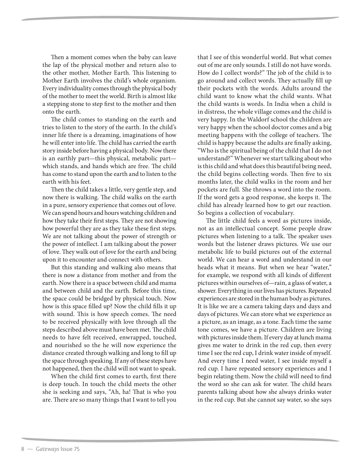Then a moment comes when the baby can leave the lap of the physical mother and return also to the other mother, Mother Earth. This listening to Mother Earth involves the child's whole organism. Every individuality comes through the physical body of the mother to meet the world. Birth is almost like a stepping stone to step first to the mother and then onto the earth.

The child comes to standing on the earth and tries to listen to the story of the earth. In the child's inner life there is a dreaming, imaginations of how he will enter into life. The child has carried the earth story inside before having a physical body. Now there is an earthly part—this physical, metabolic part which stands, and hands which are free. The child has come to stand upon the earth and to listen to the earth with his feet.

Then the child takes a little, very gentle step, and now there is walking. The child walks on the earth in a pure, sensory experience that comes out of love. We can spend hours and hours watching children and how they take their first steps. They are not showing how powerful they are as they take these first steps. We are not talking about the power of strength or the power of intellect. I am talking about the power of love. They walk out of love for the earth and being upon it to encounter and connect with others.

But this standing and walking also means that there is now a distance from mother and from the earth. Now there is a space between child and mama and between child and the earth. Before this time, the space could be bridged by physical touch. Now how is this space filled up? Now the child fills it up with sound. This is how speech comes. The need to be received physically with love through all the steps described above must have been met. The child needs to have felt received, enwrapped, touched, and nourished so the he will now experience the distance created through walking and long to fill up the space through speaking. If any of these steps have not happened, then the child will not want to speak.

When the child first comes to earth, first there is deep touch. In touch the child meets the other she is seeking and says, "Ah, ha! That is who you are. There are so many things that I want to tell you

that I see of this wonderful world. But what comes out of me are only sounds. I still do not have words. How do I collect words?" The job of the child is to go around and collect words. They actually fill up their pockets with the words. Adults around the child want to know what the child wants. What the child wants is words. In India when a child is in distress, the whole village comes and the child is very happy. In the Waldorf school the children are very happy when the school doctor comes and a big meeting happens with the college of teachers. The child is happy because the adults are finally asking, "Who is the spiritual being of the child that I do not understand?" Whenever we start talking about who is this child and what does this beautiful being need, the child begins collecting words. Then five to six months later, the child walks in the room and her pockets are full. She throws a word into the room. If the word gets a good response, she keeps it. The child has already learned how to get our reaction. So begins a collection of vocabulary.

The little child feels a word as pictures inside, not as an intellectual concept. Some people draw pictures when listening to a talk. The speaker uses words but the listener draws pictures. We use our metabolic life to build pictures out of the external world. We can hear a word and understand in our heads what it means. But when we hear "water," for example, we respond with all kinds of different pictures within ourselves of—rain, a glass of water, a shower. Everything in our lives has pictures. Repeated experiences are stored in the human body as pictures. It is like we are a camera taking days and days and days of pictures. We can store what we experience as a picture, as an image, as a tone. Each time the same tone comes, we have a picture. Children are living with pictures inside them. If every day at lunch mama gives me water to drink in the red cup, then every time I see the red cup, I drink water inside of myself. And every time I need water, I see inside myself a red cup. I have repeated sensory experiences and I begin relating them. Now the child will need to find the word so she can ask for water. The child hears parents talking about how she always drinks water in the red cup. But she cannot say water, so she says